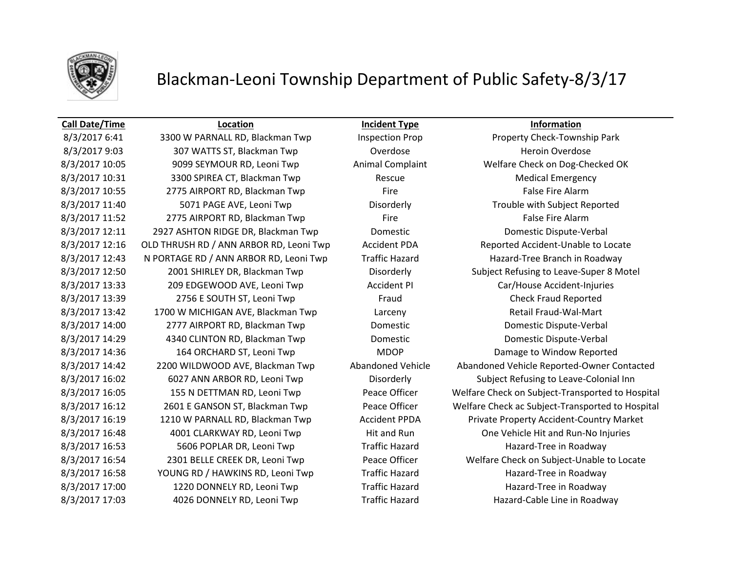

## Blackman-Leoni Township Department of Public Safety-8/3/17

### **Call Date/Time Location Incident Type Information**

8/3/2017 6:41 3300 W PARNALL RD, Blackman Twp Inspection Prop Property Check-Township Park 8/3/2017 9:03 307 WATTS ST, Blackman Twp Coverdose Coverdose Heroin Overdose 8/3/2017 10:05 9099 SEYMOUR RD, Leoni Twp Animal Complaint Welfare Check on Dog-Checked OK 8/3/2017 10:31 3300 SPIREA CT, Blackman Twp Rescue Rescue Medical Emergency 8/3/2017 10:55 2775 AIRPORT RD, Blackman Twp Fire Fire False Fire Alarm 8/3/2017 11:40 5071 PAGE AVE, Leoni Twp Disorderly Trouble with Subject Reported 8/3/2017 11:52 2775 AIRPORT RD, Blackman Twp Fire Fire False Fire Alarm 8/3/2017 12:11 2927 ASHTON RIDGE DR, Blackman Twp Domestic Domestic Dispute-Verbal 8/3/2017 12:16 OLD THRUSH RD / ANN ARBOR RD, Leoni Twp Accident PDA Reported Accident-Unable to Locate 8/3/2017 12:43 N PORTAGE RD / ANN ARBOR RD, Leoni Twp Traffic Hazard Hazard Hazard-Tree Branch in Roadway 8/3/2017 13:33 209 EDGEWOOD AVE, Leoni Twp Accident PI Car/House Accident-Injuries 8/3/2017 13:39 2756 E SOUTH ST, Leoni Twp Fraud Fraud Check Fraud Reported 8/3/2017 13:42 1700 W MICHIGAN AVE, Blackman Twp Larceny Larceny Retail Fraud-Wal-Mart 8/3/2017 14:00 2777 AIRPORT RD, Blackman Twp Domestic Domestic Dispute-Verbal 8/3/2017 14:29 4340 CLINTON RD, Blackman Twp Domestic Domestic Dispute-Verbal 8/3/2017 14:36 164 ORCHARD ST, Leoni Twp MDOP Damage to Window Reported 8/3/2017 16:48 4001 CLARKWAY RD, Leoni Twp Hit and Run One Vehicle Hit and Run-No Injuries 8/3/2017 16:53 5606 POPLAR DR, Leoni Twp Traffic Hazard Hazard-Tree in Roadway 8/3/2017 16:58 YOUNG RD / HAWKINS RD, Leoni Twp Traffic Hazard Hazard Hazard-Tree in Roadway 8/3/2017 17:00 1220 DONNELY RD, Leoni Twp Traffic Hazard Hazard Hazard-Tree in Roadway 8/3/2017 17:03 4026 DONNELY RD, Leoni Twp Traffic Hazard Hazard Hazard-Cable Line in Roadway

8/3/2017 12:50 2001 SHIRLEY DR, Blackman Twp Disorderly Subject Refusing to Leave-Super 8 Motel 8/3/2017 14:42 2200 WILDWOOD AVE, Blackman Twp Abandoned Vehicle Abandoned Vehicle Reported-Owner Contacted 8/3/2017 16:02 6027 ANN ARBOR RD, Leoni Twp Disorderly Subject Refusing to Leave-Colonial Inn 8/3/2017 16:05 155 N DETTMAN RD, Leoni Twp Peace Officer Welfare Check on Subject-Transported to Hospital 8/3/2017 16:12 2601 E GANSON ST, Blackman Twp Peace Officer Welfare Check ac Subject-Transported to Hospital 8/3/2017 16:19 1210 W PARNALL RD, Blackman Twp Accident PPDA Private Property Accident-Country Market 8/3/2017 16:54 2301 BELLE CREEK DR, Leoni Twp Peace Officer Welfare Check on Subject-Unable to Locate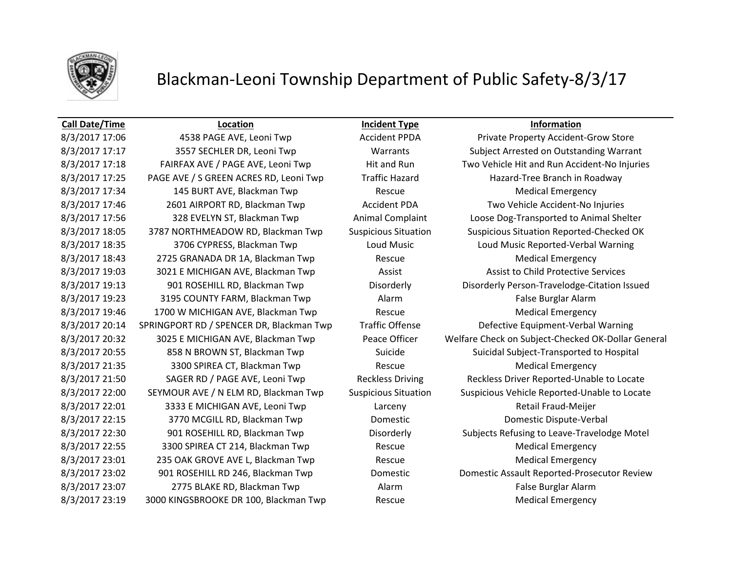

## Blackman-Leoni Township Department of Public Safety-8/3/17

8/3/2017 17:25 PAGE AVE / S GREEN ACRES RD, Leoni Twp Traffic Hazard Hazard Hazard-Tree Branch in Roadway 8/3/2017 17:34 145 BURT AVE, Blackman Twp Rescue Medical Emergency 8/3/2017 17:46 2601 AIRPORT RD, Blackman Twp Accident PDA Two Vehicle Accident-No Injuries 8/3/2017 18:35 3706 CYPRESS, Blackman Twp Loud Music Loud Music Reported-Verbal Warning 8/3/2017 18:43 2725 GRANADA DR 1A, Blackman Twp Rescue Rescue Medical Emergency 8/3/2017 19:03 3021 E MICHIGAN AVE, Blackman Twp **Assist Assist Assist Assist Child Protective Services** 8/3/2017 19:23 3195 COUNTY FARM, Blackman Twp Alarm Alarm False Burglar Alarm 8/3/2017 19:46 1700 W MICHIGAN AVE, Blackman Twp Rescue Rescue Medical Emergency 8/3/2017 20:14 SPRINGPORT RD / SPENCER DR, Blackman Twp Traffic Offense Defective Equipment-Verbal Warning 8/3/2017 21:35 3300 SPIREA CT, Blackman Twp Rescue Rescue Medical Emergency 8/3/2017 22:01 3333 E MICHIGAN AVE, Leoni Twp Larceny Retail Fraud-Meijer 8/3/2017 22:15 3770 MCGILL RD, Blackman Twp Domestic Domestic Dispute-Verbal 8/3/2017 22:55 3300 SPIREA CT 214, Blackman Twp Rescue Rescue Medical Emergency 8/3/2017 23:01 235 OAK GROVE AVE L, Blackman Twp Rescue Rescue Medical Emergency 8/3/2017 23:07 2775 BLAKE RD, Blackman Twp Alarm Alarm False Burglar Alarm 8/3/2017 23:19 3000 KINGSBROOKE DR 100, Blackman Twp Rescue Rescue Medical Emergency

**Call Date/Time Location Incident Type Information**

8/3/2017 17:06 4538 PAGE AVE, Leoni Twp Accident PPDA Private Property Accident-Grow Store 8/3/2017 17:17 3557 SECHLER DR, Leoni Twp Warrants Subject Arrested on Outstanding Warrant 8/3/2017 17:18 FAIRFAX AVE / PAGE AVE, Leoni Twp Hit and Run Two Vehicle Hit and Run Accident-No Injuries 8/3/2017 17:56 328 EVELYN ST, Blackman Twp Animal Complaint Loose Dog-Transported to Animal Shelter 8/3/2017 18:05 3787 NORTHMEADOW RD, Blackman Twp Suspicious Situation Suspicious Situation Reported-Checked OK 8/3/2017 19:13 901 ROSEHILL RD, Blackman Twp Disorderly Disorderly Person-Travelodge-Citation Issued 8/3/2017 20:32 3025 E MICHIGAN AVE, Blackman Twp Peace Officer Welfare Check on Subject-Checked OK-Dollar General 8/3/2017 20:55 858 N BROWN ST, Blackman Twp Suicide Suicide Suicidal Subject-Transported to Hospital 8/3/2017 21:50 SAGER RD / PAGE AVE, Leoni Twp Reckless Driving Reckless Driver Reported-Unable to Locate 8/3/2017 22:00 SEYMOUR AVE / N ELM RD, Blackman Twp Suspicious Situation Suspicious Vehicle Reported-Unable to Locate 8/3/2017 22:30 901 ROSEHILL RD, Blackman Twp Disorderly Subjects Refusing to Leave-Travelodge Motel 8/3/2017 23:02 901 ROSEHILL RD 246, Blackman Twp Domestic Domestic Domestic Assault Reported-Prosecutor Review